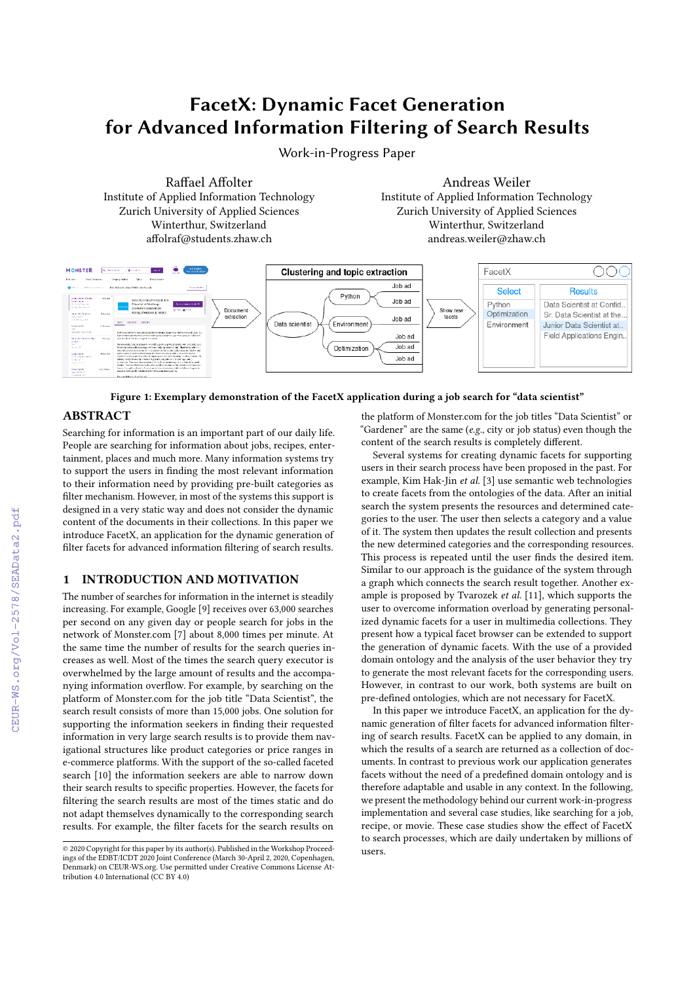# FacetX: Dynamic Facet Generation for Advanced Information Filtering of Search Results

Work-in-Progress Paper

Raffael Affolter Institute of Applied Information Technology Zurich University of Applied Sciences Winterthur, Switzerland affolraf@students.zhaw.ch

Andreas Weiler Institute of Applied Information Technology Zurich University of Applied Sciences Winterthur, Switzerland andreas.weiler@zhaw.ch



## Figure 1: Exemplary demonstration of the FacetX application during a job search for "data scientist"

# ABSTRACT

Searching for information is an important part of our daily life. People are searching for information about jobs, recipes, entertainment, places and much more. Many information systems try to support the users in finding the most relevant information to their information need by providing pre-built categories as filter mechanism. However, in most of the systems this support is designed in a very static way and does not consider the dynamic content of the documents in their collections. In this paper we introduce FacetX, an application for the dynamic generation of filter facets for advanced information filtering of search results.

# 1 INTRODUCTION AND MOTIVATION

The number of searches for information in the internet is steadily increasing. For example, Google [\[9\]](#page--1-0) receives over 63,000 searches per second on any given day or people search for jobs in the network of Monster.com [\[7\]](#page--1-1) about 8,000 times per minute. At the same time the number of results for the search queries increases as well. Most of the times the search query executor is overwhelmed by the large amount of results and the accompanying information overflow. For example, by searching on the platform of Monster.com for the job title "Data Scientist", the search result consists of more than 15,000 jobs. One solution for supporting the information seekers in finding their requested information in very large search results is to provide them navigational structures like product categories or price ranges in e-commerce platforms. With the support of the so-called faceted search [\[10\]](#page--1-2) the information seekers are able to narrow down their search results to specific properties. However, the facets for filtering the search results are most of the times static and do not adapt themselves dynamically to the corresponding search results. For example, the filter facets for the search results on

the platform of Monster.com for the job titles "Data Scientist" or "Gardener" are the same (e.g., city or job status) even though the content of the search results is completely different.

Several systems for creating dynamic facets for supporting users in their search process have been proposed in the past. For example, Kim Hak-Jin et al. [\[3\]](#page--1-3) use semantic web technologies to create facets from the ontologies of the data. After an initial search the system presents the resources and determined categories to the user. The user then selects a category and a value of it. The system then updates the result collection and presents the new determined categories and the corresponding resources. This process is repeated until the user finds the desired item. Similar to our approach is the guidance of the system through a graph which connects the search result together. Another example is proposed by Tvarozek et al. [\[11\]](#page--1-4), which supports the user to overcome information overload by generating personalized dynamic facets for a user in multimedia collections. They present how a typical facet browser can be extended to support the generation of dynamic facets. With the use of a provided domain ontology and the analysis of the user behavior they try to generate the most relevant facets for the corresponding users. However, in contrast to our work, both systems are built on pre-defined ontologies, which are not necessary for FacetX.

In this paper we introduce FacetX, an application for the dynamic generation of filter facets for advanced information filtering of search results. FacetX can be applied to any domain, in which the results of a search are returned as a collection of documents. In contrast to previous work our application generates facets without the need of a predefined domain ontology and is therefore adaptable and usable in any context. In the following, we present the methodology behind our current work-in-progress implementation and several case studies, like searching for a job, recipe, or movie. These case studies show the effect of FacetX to search processes, which are daily undertaken by millions of users.

<sup>©</sup> 2020 Copyright for this paper by its author(s). Published in the Workshop Proceed-ings of the EDBT/ICDT 2020 Joint Conference (March 30-April 2, 2020, Copenhagen, Denmark) on CEUR-WS.org. Use permitted under Creative Commons License Attribution 4.0 International (CC BY 4.0)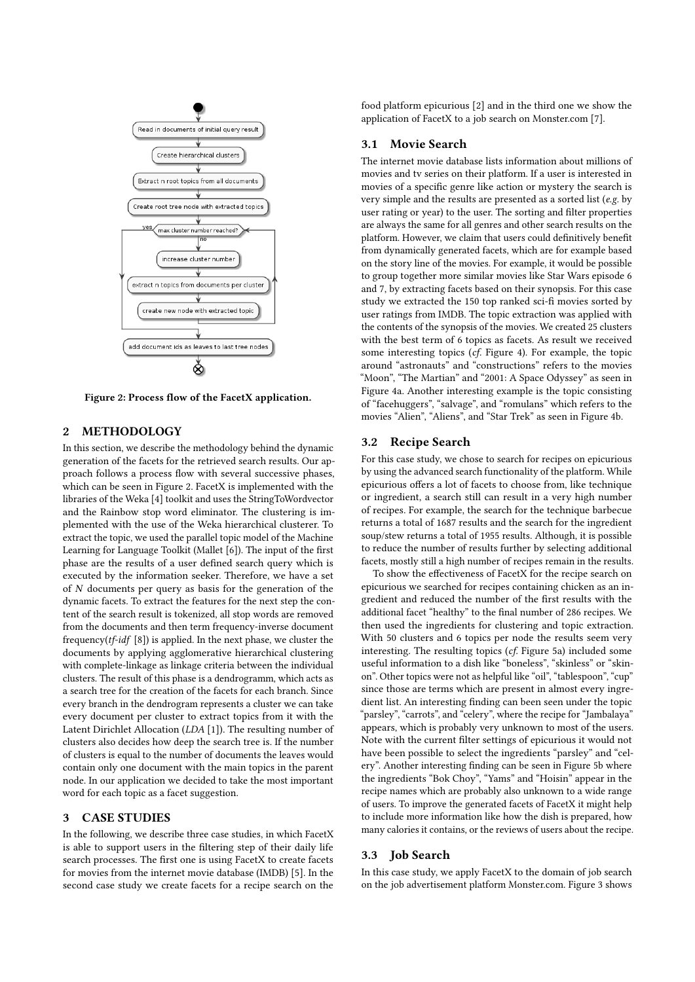<span id="page-1-0"></span>

Figure 2: Process flow of the FacetX application.

# 2 METHODOLOGY

In this section, we describe the methodology behind the dynamic generation of the facets for the retrieved search results. Our approach follows a process flow with several successive phases, which can be seen in Figure [2.](#page-1-0) FacetX is implemented with the libraries of the Weka [\[4\]](#page-3-0) toolkit and uses the StringToWordvector and the Rainbow stop word eliminator. The clustering is implemented with the use of the Weka hierarchical clusterer. To extract the topic, we used the parallel topic model of the Machine Learning for Language Toolkit (Mallet [\[6\]](#page-3-1)). The input of the first phase are the results of a user defined search query which is executed by the information seeker. Therefore, we have a set of N documents per query as basis for the generation of the dynamic facets. To extract the features for the next step the content of the search result is tokenized, all stop words are removed from the documents and then term frequency-inverse document frequency( $tf$ - $idf$ [\[8\]](#page-3-2)) is applied. In the next phase, we cluster the documents by applying agglomerative hierarchical clustering with complete-linkage as linkage criteria between the individual clusters. The result of this phase is a dendrogramm, which acts as a search tree for the creation of the facets for each branch. Since every branch in the dendrogram represents a cluster we can take every document per cluster to extract topics from it with the Latent Dirichlet Allocation (LDA [\[1\]](#page-3-3)). The resulting number of clusters also decides how deep the search tree is. If the number of clusters is equal to the number of documents the leaves would contain only one document with the main topics in the parent node. In our application we decided to take the most important word for each topic as a facet suggestion.

### 3 CASE STUDIES

In the following, we describe three case studies, in which FacetX is able to support users in the filtering step of their daily life search processes. The first one is using FacetX to create facets for movies from the internet movie database (IMDB) [\[5\]](#page-3-4). In the second case study we create facets for a recipe search on the

food platform epicurious [\[2\]](#page-3-5) and in the third one we show the application of FacetX to a job search on Monster.com [\[7\]](#page-3-6).

## 3.1 Movie Search

The internet movie database lists information about millions of movies and tv series on their platform. If a user is interested in movies of a specific genre like action or mystery the search is very simple and the results are presented as a sorted list (e.g. by user rating or year) to the user. The sorting and filter properties are always the same for all genres and other search results on the platform. However, we claim that users could definitively benefit from dynamically generated facets, which are for example based on the story line of the movies. For example, it would be possible to group together more similar movies like Star Wars episode 6 and 7, by extracting facets based on their synopsis. For this case study we extracted the 150 top ranked sci-fi movies sorted by user ratings from IMDB. The topic extraction was applied with the contents of the synopsis of the movies. We created 25 clusters with the best term of 6 topics as facets. As result we received some interesting topics (cf. Figure [4\)](#page-2-0). For example, the topic around "astronauts" and "constructions" refers to the movies "Moon", "The Martian" and "2001: A Space Odyssey" as seen in Figure [4a.](#page-2-1) Another interesting example is the topic consisting of "facehuggers", "salvage", and "romulans" which refers to the movies "Alien", "Aliens", and "Star Trek" as seen in Figure [4b.](#page-2-2)

## 3.2 Recipe Search

For this case study, we chose to search for recipes on epicurious by using the advanced search functionality of the platform. While epicurious offers a lot of facets to choose from, like technique or ingredient, a search still can result in a very high number of recipes. For example, the search for the technique barbecue returns a total of 1687 results and the search for the ingredient soup/stew returns a total of 1955 results. Although, it is possible to reduce the number of results further by selecting additional facets, mostly still a high number of recipes remain in the results.

To show the effectiveness of FacetX for the recipe search on epicurious we searched for recipes containing chicken as an ingredient and reduced the number of the first results with the additional facet "healthy" to the final number of 286 recipes. We then used the ingredients for clustering and topic extraction. With 50 clusters and 6 topics per node the results seem very interesting. The resulting topics (cf. Figure [5a\)](#page-2-3) included some useful information to a dish like "boneless", "skinless" or "skinon". Other topics were not as helpful like "oil", "tablespoon", "cup" since those are terms which are present in almost every ingredient list. An interesting finding can been seen under the topic "parsley", "carrots", and "celery", where the recipe for "Jambalaya" appears, which is probably very unknown to most of the users. Note with the current filter settings of epicurious it would not have been possible to select the ingredients "parsley" and "celery". Another interesting finding can be seen in Figure [5b](#page-2-4) where the ingredients "Bok Choy", "Yams" and "Hoisin" appear in the recipe names which are probably also unknown to a wide range of users. To improve the generated facets of FacetX it might help to include more information like how the dish is prepared, how many calories it contains, or the reviews of users about the recipe.

#### 3.3 Job Search

In this case study, we apply FacetX to the domain of job search on the job advertisement platform Monster.com. Figure [3](#page-2-5) shows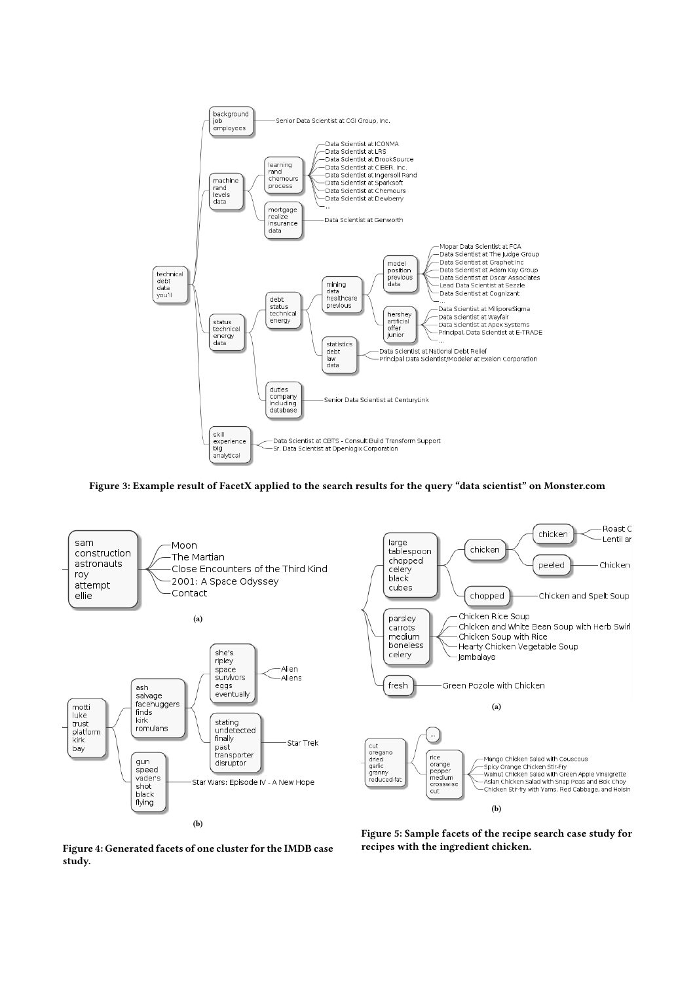<span id="page-2-5"></span>

<span id="page-2-3"></span>Figure 3: Example result of FacetX applied to the search results for the query "data scientist" on Monster.com

<span id="page-2-2"></span><span id="page-2-1"></span><span id="page-2-0"></span>

Figure 4: Generated facets of one cluster for the IMDB case study.

<span id="page-2-4"></span>Figure 5: Sample facets of the recipe search case study for recipes with the ingredient chicken.